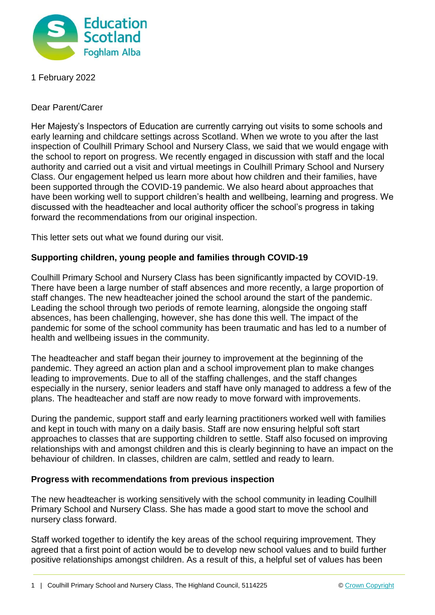

1 February 2022

Dear Parent/Carer

Her Majesty's Inspectors of Education are currently carrying out visits to some schools and early learning and childcare settings across Scotland. When we wrote to you after the last inspection of Coulhill Primary School and Nursery Class, we said that we would engage with the school to report on progress. We recently engaged in discussion with staff and the local authority and carried out a visit and virtual meetings in Coulhill Primary School and Nursery Class. Our engagement helped us learn more about how children and their families, have been supported through the COVID-19 pandemic. We also heard about approaches that have been working well to support children's health and wellbeing, learning and progress. We discussed with the headteacher and local authority officer the school's progress in taking forward the recommendations from our original inspection.

This letter sets out what we found during our visit.

## **Supporting children, young people and families through COVID-19**

Coulhill Primary School and Nursery Class has been significantly impacted by COVID-19. There have been a large number of staff absences and more recently, a large proportion of staff changes. The new headteacher joined the school around the start of the pandemic. Leading the school through two periods of remote learning, alongside the ongoing staff absences, has been challenging, however, she has done this well. The impact of the pandemic for some of the school community has been traumatic and has led to a number of health and wellbeing issues in the community.

The headteacher and staff began their journey to improvement at the beginning of the pandemic. They agreed an action plan and a school improvement plan to make changes leading to improvements. Due to all of the staffing challenges, and the staff changes especially in the nursery, senior leaders and staff have only managed to address a few of the plans. The headteacher and staff are now ready to move forward with improvements.

During the pandemic, support staff and early learning practitioners worked well with families and kept in touch with many on a daily basis. Staff are now ensuring helpful soft start approaches to classes that are supporting children to settle. Staff also focused on improving relationships with and amongst children and this is clearly beginning to have an impact on the behaviour of children. In classes, children are calm, settled and ready to learn.

## **Progress with recommendations from previous inspection**

The new headteacher is working sensitively with the school community in leading Coulhill Primary School and Nursery Class. She has made a good start to move the school and nursery class forward.

Staff worked together to identify the key areas of the school requiring improvement. They agreed that a first point of action would be to develop new school values and to build further positive relationships amongst children. As a result of this, a helpful set of values has been